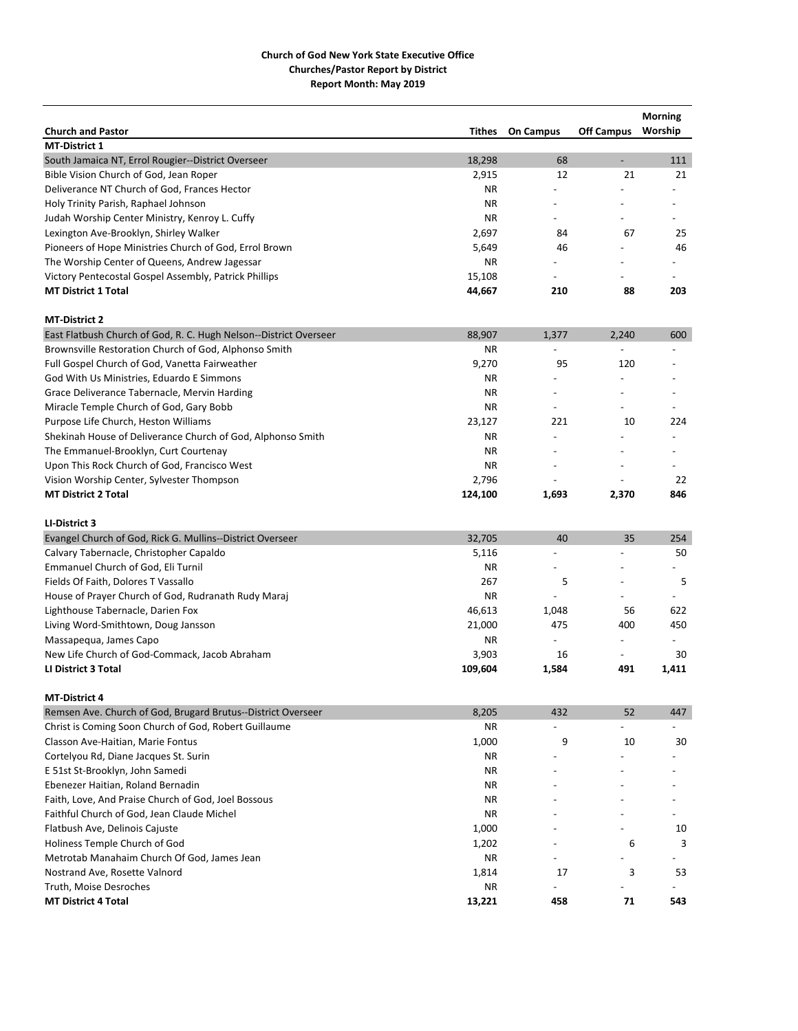| <b>Church and Pastor</b><br><b>Off Campus</b><br>Worship<br>Tithes<br><b>On Campus</b><br><b>MT-District 1</b><br>South Jamaica NT, Errol Rougier--District Overseer<br>18,298<br>68<br>111<br>$\overline{\phantom{a}}$<br>Bible Vision Church of God, Jean Roper<br>2,915<br>12<br>21<br>21<br>Deliverance NT Church of God, Frances Hector<br><b>NR</b><br>Holy Trinity Parish, Raphael Johnson<br><b>NR</b><br>Judah Worship Center Ministry, Kenroy L. Cuffy<br><b>NR</b><br>Lexington Ave-Brooklyn, Shirley Walker<br>2,697<br>84<br>67<br>25<br>Pioneers of Hope Ministries Church of God, Errol Brown<br>5,649<br>46<br>46<br>The Worship Center of Queens, Andrew Jagessar<br><b>NR</b><br>Victory Pentecostal Gospel Assembly, Patrick Phillips<br>15,108<br>$\overline{a}$<br><b>MT District 1 Total</b><br>44,667<br>210<br>88<br>203<br><b>MT-District 2</b><br>East Flatbush Church of God, R. C. Hugh Nelson--District Overseer<br>88,907<br>2,240<br>1,377<br>600<br>Brownsville Restoration Church of God, Alphonso Smith<br>ΝR<br>Full Gospel Church of God, Vanetta Fairweather<br>9,270<br>95<br>120<br>God With Us Ministries, Eduardo E Simmons<br><b>NR</b><br>$\overline{a}$<br>$\overline{a}$<br>Grace Deliverance Tabernacle, Mervin Harding<br><b>NR</b><br>$\overline{a}$<br>Miracle Temple Church of God, Gary Bobb<br><b>NR</b><br>$\overline{a}$<br>23,127<br>221<br>10<br>224<br>Purpose Life Church, Heston Williams<br>Shekinah House of Deliverance Church of God, Alphonso Smith<br><b>NR</b><br>The Emmanuel-Brooklyn, Curt Courtenay<br><b>NR</b><br>Upon This Rock Church of God, Francisco West<br><b>NR</b><br>$\overline{a}$<br>Vision Worship Center, Sylvester Thompson<br>2,796<br>22<br><b>MT District 2 Total</b><br>124,100<br>846<br>1,693<br>2,370<br>LI-District 3<br>Evangel Church of God, Rick G. Mullins--District Overseer<br>32,705<br>40<br>35<br>254<br>50<br>Calvary Tabernacle, Christopher Capaldo<br>5,116<br>Emmanuel Church of God, Eli Turnil<br>ΝR<br>267<br>Fields Of Faith, Dolores T Vassallo<br>5<br>5<br>House of Prayer Church of God, Rudranath Rudy Maraj<br><b>NR</b><br>$\overline{\phantom{0}}$<br>$\overline{\phantom{a}}$<br>Lighthouse Tabernacle, Darien Fox<br>46,613<br>56<br>622<br>1,048<br>21,000<br>475<br>400<br>450<br>Living Word-Smithtown, Doug Jansson<br>Massapequa, James Capo<br><b>NR</b><br>$\overline{\phantom{a}}$<br>$\overline{\phantom{a}}$<br>$\overline{\phantom{0}}$<br>New Life Church of God-Commack, Jacob Abraham<br>3,903<br>30<br>16<br><b>LI District 3 Total</b><br>109,604<br>491<br>1,411<br>1,584<br><b>MT-District 4</b><br>Remsen Ave. Church of God, Brugard Brutus--District Overseer<br>8,205<br>432<br>52<br>447<br>Christ is Coming Soon Church of God, Robert Guillaume<br>ΝR<br>1,000<br>9<br>10<br>30<br>Classon Ave-Haitian, Marie Fontus<br>Cortelyou Rd, Diane Jacques St. Surin<br>ΝR<br>E 51st St-Brooklyn, John Samedi<br><b>NR</b><br>Ebenezer Haitian, Roland Bernadin<br>ΝR<br>Faith, Love, And Praise Church of God, Joel Bossous<br><b>NR</b><br>Faithful Church of God, Jean Claude Michel<br><b>NR</b><br>Flatbush Ave, Delinois Cajuste<br>1,000<br>10<br>Holiness Temple Church of God<br>1,202<br>6<br>3<br>Metrotab Manahaim Church Of God, James Jean<br>NR.<br>Nostrand Ave, Rosette Valnord<br>1,814<br>17<br>3<br>53<br>NR.<br>Truth, Moise Desroches<br>$\overline{a}$<br><b>MT District 4 Total</b><br>13,221<br>458<br>71<br>543 |  |  | <b>Morning</b> |
|-----------------------------------------------------------------------------------------------------------------------------------------------------------------------------------------------------------------------------------------------------------------------------------------------------------------------------------------------------------------------------------------------------------------------------------------------------------------------------------------------------------------------------------------------------------------------------------------------------------------------------------------------------------------------------------------------------------------------------------------------------------------------------------------------------------------------------------------------------------------------------------------------------------------------------------------------------------------------------------------------------------------------------------------------------------------------------------------------------------------------------------------------------------------------------------------------------------------------------------------------------------------------------------------------------------------------------------------------------------------------------------------------------------------------------------------------------------------------------------------------------------------------------------------------------------------------------------------------------------------------------------------------------------------------------------------------------------------------------------------------------------------------------------------------------------------------------------------------------------------------------------------------------------------------------------------------------------------------------------------------------------------------------------------------------------------------------------------------------------------------------------------------------------------------------------------------------------------------------------------------------------------------------------------------------------------------------------------------------------------------------------------------------------------------------------------------------------------------------------------------------------------------------------------------------------------------------------------------------------------------------------------------------------------------------------------------------------------------------------------------------------------------------------------------------------------------------------------------------------------------------------------------------------------------------------------------------------------------------------------------------------------------------------------------------------------------------------------------------------------------------------------------------------------------------------------------------------------------------------------------------------------------------------------------------------------------------------------------------------------------------------------------------------------------------------------------------------------------------------------|--|--|----------------|
|                                                                                                                                                                                                                                                                                                                                                                                                                                                                                                                                                                                                                                                                                                                                                                                                                                                                                                                                                                                                                                                                                                                                                                                                                                                                                                                                                                                                                                                                                                                                                                                                                                                                                                                                                                                                                                                                                                                                                                                                                                                                                                                                                                                                                                                                                                                                                                                                                                                                                                                                                                                                                                                                                                                                                                                                                                                                                                                                                                                                                                                                                                                                                                                                                                                                                                                                                                                                                                                                                         |  |  |                |
|                                                                                                                                                                                                                                                                                                                                                                                                                                                                                                                                                                                                                                                                                                                                                                                                                                                                                                                                                                                                                                                                                                                                                                                                                                                                                                                                                                                                                                                                                                                                                                                                                                                                                                                                                                                                                                                                                                                                                                                                                                                                                                                                                                                                                                                                                                                                                                                                                                                                                                                                                                                                                                                                                                                                                                                                                                                                                                                                                                                                                                                                                                                                                                                                                                                                                                                                                                                                                                                                                         |  |  |                |
|                                                                                                                                                                                                                                                                                                                                                                                                                                                                                                                                                                                                                                                                                                                                                                                                                                                                                                                                                                                                                                                                                                                                                                                                                                                                                                                                                                                                                                                                                                                                                                                                                                                                                                                                                                                                                                                                                                                                                                                                                                                                                                                                                                                                                                                                                                                                                                                                                                                                                                                                                                                                                                                                                                                                                                                                                                                                                                                                                                                                                                                                                                                                                                                                                                                                                                                                                                                                                                                                                         |  |  |                |
|                                                                                                                                                                                                                                                                                                                                                                                                                                                                                                                                                                                                                                                                                                                                                                                                                                                                                                                                                                                                                                                                                                                                                                                                                                                                                                                                                                                                                                                                                                                                                                                                                                                                                                                                                                                                                                                                                                                                                                                                                                                                                                                                                                                                                                                                                                                                                                                                                                                                                                                                                                                                                                                                                                                                                                                                                                                                                                                                                                                                                                                                                                                                                                                                                                                                                                                                                                                                                                                                                         |  |  |                |
|                                                                                                                                                                                                                                                                                                                                                                                                                                                                                                                                                                                                                                                                                                                                                                                                                                                                                                                                                                                                                                                                                                                                                                                                                                                                                                                                                                                                                                                                                                                                                                                                                                                                                                                                                                                                                                                                                                                                                                                                                                                                                                                                                                                                                                                                                                                                                                                                                                                                                                                                                                                                                                                                                                                                                                                                                                                                                                                                                                                                                                                                                                                                                                                                                                                                                                                                                                                                                                                                                         |  |  |                |
|                                                                                                                                                                                                                                                                                                                                                                                                                                                                                                                                                                                                                                                                                                                                                                                                                                                                                                                                                                                                                                                                                                                                                                                                                                                                                                                                                                                                                                                                                                                                                                                                                                                                                                                                                                                                                                                                                                                                                                                                                                                                                                                                                                                                                                                                                                                                                                                                                                                                                                                                                                                                                                                                                                                                                                                                                                                                                                                                                                                                                                                                                                                                                                                                                                                                                                                                                                                                                                                                                         |  |  |                |
|                                                                                                                                                                                                                                                                                                                                                                                                                                                                                                                                                                                                                                                                                                                                                                                                                                                                                                                                                                                                                                                                                                                                                                                                                                                                                                                                                                                                                                                                                                                                                                                                                                                                                                                                                                                                                                                                                                                                                                                                                                                                                                                                                                                                                                                                                                                                                                                                                                                                                                                                                                                                                                                                                                                                                                                                                                                                                                                                                                                                                                                                                                                                                                                                                                                                                                                                                                                                                                                                                         |  |  |                |
|                                                                                                                                                                                                                                                                                                                                                                                                                                                                                                                                                                                                                                                                                                                                                                                                                                                                                                                                                                                                                                                                                                                                                                                                                                                                                                                                                                                                                                                                                                                                                                                                                                                                                                                                                                                                                                                                                                                                                                                                                                                                                                                                                                                                                                                                                                                                                                                                                                                                                                                                                                                                                                                                                                                                                                                                                                                                                                                                                                                                                                                                                                                                                                                                                                                                                                                                                                                                                                                                                         |  |  |                |
|                                                                                                                                                                                                                                                                                                                                                                                                                                                                                                                                                                                                                                                                                                                                                                                                                                                                                                                                                                                                                                                                                                                                                                                                                                                                                                                                                                                                                                                                                                                                                                                                                                                                                                                                                                                                                                                                                                                                                                                                                                                                                                                                                                                                                                                                                                                                                                                                                                                                                                                                                                                                                                                                                                                                                                                                                                                                                                                                                                                                                                                                                                                                                                                                                                                                                                                                                                                                                                                                                         |  |  |                |
|                                                                                                                                                                                                                                                                                                                                                                                                                                                                                                                                                                                                                                                                                                                                                                                                                                                                                                                                                                                                                                                                                                                                                                                                                                                                                                                                                                                                                                                                                                                                                                                                                                                                                                                                                                                                                                                                                                                                                                                                                                                                                                                                                                                                                                                                                                                                                                                                                                                                                                                                                                                                                                                                                                                                                                                                                                                                                                                                                                                                                                                                                                                                                                                                                                                                                                                                                                                                                                                                                         |  |  |                |
|                                                                                                                                                                                                                                                                                                                                                                                                                                                                                                                                                                                                                                                                                                                                                                                                                                                                                                                                                                                                                                                                                                                                                                                                                                                                                                                                                                                                                                                                                                                                                                                                                                                                                                                                                                                                                                                                                                                                                                                                                                                                                                                                                                                                                                                                                                                                                                                                                                                                                                                                                                                                                                                                                                                                                                                                                                                                                                                                                                                                                                                                                                                                                                                                                                                                                                                                                                                                                                                                                         |  |  |                |
|                                                                                                                                                                                                                                                                                                                                                                                                                                                                                                                                                                                                                                                                                                                                                                                                                                                                                                                                                                                                                                                                                                                                                                                                                                                                                                                                                                                                                                                                                                                                                                                                                                                                                                                                                                                                                                                                                                                                                                                                                                                                                                                                                                                                                                                                                                                                                                                                                                                                                                                                                                                                                                                                                                                                                                                                                                                                                                                                                                                                                                                                                                                                                                                                                                                                                                                                                                                                                                                                                         |  |  |                |
|                                                                                                                                                                                                                                                                                                                                                                                                                                                                                                                                                                                                                                                                                                                                                                                                                                                                                                                                                                                                                                                                                                                                                                                                                                                                                                                                                                                                                                                                                                                                                                                                                                                                                                                                                                                                                                                                                                                                                                                                                                                                                                                                                                                                                                                                                                                                                                                                                                                                                                                                                                                                                                                                                                                                                                                                                                                                                                                                                                                                                                                                                                                                                                                                                                                                                                                                                                                                                                                                                         |  |  |                |
|                                                                                                                                                                                                                                                                                                                                                                                                                                                                                                                                                                                                                                                                                                                                                                                                                                                                                                                                                                                                                                                                                                                                                                                                                                                                                                                                                                                                                                                                                                                                                                                                                                                                                                                                                                                                                                                                                                                                                                                                                                                                                                                                                                                                                                                                                                                                                                                                                                                                                                                                                                                                                                                                                                                                                                                                                                                                                                                                                                                                                                                                                                                                                                                                                                                                                                                                                                                                                                                                                         |  |  |                |
|                                                                                                                                                                                                                                                                                                                                                                                                                                                                                                                                                                                                                                                                                                                                                                                                                                                                                                                                                                                                                                                                                                                                                                                                                                                                                                                                                                                                                                                                                                                                                                                                                                                                                                                                                                                                                                                                                                                                                                                                                                                                                                                                                                                                                                                                                                                                                                                                                                                                                                                                                                                                                                                                                                                                                                                                                                                                                                                                                                                                                                                                                                                                                                                                                                                                                                                                                                                                                                                                                         |  |  |                |
|                                                                                                                                                                                                                                                                                                                                                                                                                                                                                                                                                                                                                                                                                                                                                                                                                                                                                                                                                                                                                                                                                                                                                                                                                                                                                                                                                                                                                                                                                                                                                                                                                                                                                                                                                                                                                                                                                                                                                                                                                                                                                                                                                                                                                                                                                                                                                                                                                                                                                                                                                                                                                                                                                                                                                                                                                                                                                                                                                                                                                                                                                                                                                                                                                                                                                                                                                                                                                                                                                         |  |  |                |
|                                                                                                                                                                                                                                                                                                                                                                                                                                                                                                                                                                                                                                                                                                                                                                                                                                                                                                                                                                                                                                                                                                                                                                                                                                                                                                                                                                                                                                                                                                                                                                                                                                                                                                                                                                                                                                                                                                                                                                                                                                                                                                                                                                                                                                                                                                                                                                                                                                                                                                                                                                                                                                                                                                                                                                                                                                                                                                                                                                                                                                                                                                                                                                                                                                                                                                                                                                                                                                                                                         |  |  |                |
|                                                                                                                                                                                                                                                                                                                                                                                                                                                                                                                                                                                                                                                                                                                                                                                                                                                                                                                                                                                                                                                                                                                                                                                                                                                                                                                                                                                                                                                                                                                                                                                                                                                                                                                                                                                                                                                                                                                                                                                                                                                                                                                                                                                                                                                                                                                                                                                                                                                                                                                                                                                                                                                                                                                                                                                                                                                                                                                                                                                                                                                                                                                                                                                                                                                                                                                                                                                                                                                                                         |  |  |                |
|                                                                                                                                                                                                                                                                                                                                                                                                                                                                                                                                                                                                                                                                                                                                                                                                                                                                                                                                                                                                                                                                                                                                                                                                                                                                                                                                                                                                                                                                                                                                                                                                                                                                                                                                                                                                                                                                                                                                                                                                                                                                                                                                                                                                                                                                                                                                                                                                                                                                                                                                                                                                                                                                                                                                                                                                                                                                                                                                                                                                                                                                                                                                                                                                                                                                                                                                                                                                                                                                                         |  |  |                |
|                                                                                                                                                                                                                                                                                                                                                                                                                                                                                                                                                                                                                                                                                                                                                                                                                                                                                                                                                                                                                                                                                                                                                                                                                                                                                                                                                                                                                                                                                                                                                                                                                                                                                                                                                                                                                                                                                                                                                                                                                                                                                                                                                                                                                                                                                                                                                                                                                                                                                                                                                                                                                                                                                                                                                                                                                                                                                                                                                                                                                                                                                                                                                                                                                                                                                                                                                                                                                                                                                         |  |  |                |
|                                                                                                                                                                                                                                                                                                                                                                                                                                                                                                                                                                                                                                                                                                                                                                                                                                                                                                                                                                                                                                                                                                                                                                                                                                                                                                                                                                                                                                                                                                                                                                                                                                                                                                                                                                                                                                                                                                                                                                                                                                                                                                                                                                                                                                                                                                                                                                                                                                                                                                                                                                                                                                                                                                                                                                                                                                                                                                                                                                                                                                                                                                                                                                                                                                                                                                                                                                                                                                                                                         |  |  |                |
|                                                                                                                                                                                                                                                                                                                                                                                                                                                                                                                                                                                                                                                                                                                                                                                                                                                                                                                                                                                                                                                                                                                                                                                                                                                                                                                                                                                                                                                                                                                                                                                                                                                                                                                                                                                                                                                                                                                                                                                                                                                                                                                                                                                                                                                                                                                                                                                                                                                                                                                                                                                                                                                                                                                                                                                                                                                                                                                                                                                                                                                                                                                                                                                                                                                                                                                                                                                                                                                                                         |  |  |                |
|                                                                                                                                                                                                                                                                                                                                                                                                                                                                                                                                                                                                                                                                                                                                                                                                                                                                                                                                                                                                                                                                                                                                                                                                                                                                                                                                                                                                                                                                                                                                                                                                                                                                                                                                                                                                                                                                                                                                                                                                                                                                                                                                                                                                                                                                                                                                                                                                                                                                                                                                                                                                                                                                                                                                                                                                                                                                                                                                                                                                                                                                                                                                                                                                                                                                                                                                                                                                                                                                                         |  |  |                |
|                                                                                                                                                                                                                                                                                                                                                                                                                                                                                                                                                                                                                                                                                                                                                                                                                                                                                                                                                                                                                                                                                                                                                                                                                                                                                                                                                                                                                                                                                                                                                                                                                                                                                                                                                                                                                                                                                                                                                                                                                                                                                                                                                                                                                                                                                                                                                                                                                                                                                                                                                                                                                                                                                                                                                                                                                                                                                                                                                                                                                                                                                                                                                                                                                                                                                                                                                                                                                                                                                         |  |  |                |
|                                                                                                                                                                                                                                                                                                                                                                                                                                                                                                                                                                                                                                                                                                                                                                                                                                                                                                                                                                                                                                                                                                                                                                                                                                                                                                                                                                                                                                                                                                                                                                                                                                                                                                                                                                                                                                                                                                                                                                                                                                                                                                                                                                                                                                                                                                                                                                                                                                                                                                                                                                                                                                                                                                                                                                                                                                                                                                                                                                                                                                                                                                                                                                                                                                                                                                                                                                                                                                                                                         |  |  |                |
|                                                                                                                                                                                                                                                                                                                                                                                                                                                                                                                                                                                                                                                                                                                                                                                                                                                                                                                                                                                                                                                                                                                                                                                                                                                                                                                                                                                                                                                                                                                                                                                                                                                                                                                                                                                                                                                                                                                                                                                                                                                                                                                                                                                                                                                                                                                                                                                                                                                                                                                                                                                                                                                                                                                                                                                                                                                                                                                                                                                                                                                                                                                                                                                                                                                                                                                                                                                                                                                                                         |  |  |                |
|                                                                                                                                                                                                                                                                                                                                                                                                                                                                                                                                                                                                                                                                                                                                                                                                                                                                                                                                                                                                                                                                                                                                                                                                                                                                                                                                                                                                                                                                                                                                                                                                                                                                                                                                                                                                                                                                                                                                                                                                                                                                                                                                                                                                                                                                                                                                                                                                                                                                                                                                                                                                                                                                                                                                                                                                                                                                                                                                                                                                                                                                                                                                                                                                                                                                                                                                                                                                                                                                                         |  |  |                |
|                                                                                                                                                                                                                                                                                                                                                                                                                                                                                                                                                                                                                                                                                                                                                                                                                                                                                                                                                                                                                                                                                                                                                                                                                                                                                                                                                                                                                                                                                                                                                                                                                                                                                                                                                                                                                                                                                                                                                                                                                                                                                                                                                                                                                                                                                                                                                                                                                                                                                                                                                                                                                                                                                                                                                                                                                                                                                                                                                                                                                                                                                                                                                                                                                                                                                                                                                                                                                                                                                         |  |  |                |
|                                                                                                                                                                                                                                                                                                                                                                                                                                                                                                                                                                                                                                                                                                                                                                                                                                                                                                                                                                                                                                                                                                                                                                                                                                                                                                                                                                                                                                                                                                                                                                                                                                                                                                                                                                                                                                                                                                                                                                                                                                                                                                                                                                                                                                                                                                                                                                                                                                                                                                                                                                                                                                                                                                                                                                                                                                                                                                                                                                                                                                                                                                                                                                                                                                                                                                                                                                                                                                                                                         |  |  |                |
|                                                                                                                                                                                                                                                                                                                                                                                                                                                                                                                                                                                                                                                                                                                                                                                                                                                                                                                                                                                                                                                                                                                                                                                                                                                                                                                                                                                                                                                                                                                                                                                                                                                                                                                                                                                                                                                                                                                                                                                                                                                                                                                                                                                                                                                                                                                                                                                                                                                                                                                                                                                                                                                                                                                                                                                                                                                                                                                                                                                                                                                                                                                                                                                                                                                                                                                                                                                                                                                                                         |  |  |                |
|                                                                                                                                                                                                                                                                                                                                                                                                                                                                                                                                                                                                                                                                                                                                                                                                                                                                                                                                                                                                                                                                                                                                                                                                                                                                                                                                                                                                                                                                                                                                                                                                                                                                                                                                                                                                                                                                                                                                                                                                                                                                                                                                                                                                                                                                                                                                                                                                                                                                                                                                                                                                                                                                                                                                                                                                                                                                                                                                                                                                                                                                                                                                                                                                                                                                                                                                                                                                                                                                                         |  |  |                |
|                                                                                                                                                                                                                                                                                                                                                                                                                                                                                                                                                                                                                                                                                                                                                                                                                                                                                                                                                                                                                                                                                                                                                                                                                                                                                                                                                                                                                                                                                                                                                                                                                                                                                                                                                                                                                                                                                                                                                                                                                                                                                                                                                                                                                                                                                                                                                                                                                                                                                                                                                                                                                                                                                                                                                                                                                                                                                                                                                                                                                                                                                                                                                                                                                                                                                                                                                                                                                                                                                         |  |  |                |
|                                                                                                                                                                                                                                                                                                                                                                                                                                                                                                                                                                                                                                                                                                                                                                                                                                                                                                                                                                                                                                                                                                                                                                                                                                                                                                                                                                                                                                                                                                                                                                                                                                                                                                                                                                                                                                                                                                                                                                                                                                                                                                                                                                                                                                                                                                                                                                                                                                                                                                                                                                                                                                                                                                                                                                                                                                                                                                                                                                                                                                                                                                                                                                                                                                                                                                                                                                                                                                                                                         |  |  |                |
|                                                                                                                                                                                                                                                                                                                                                                                                                                                                                                                                                                                                                                                                                                                                                                                                                                                                                                                                                                                                                                                                                                                                                                                                                                                                                                                                                                                                                                                                                                                                                                                                                                                                                                                                                                                                                                                                                                                                                                                                                                                                                                                                                                                                                                                                                                                                                                                                                                                                                                                                                                                                                                                                                                                                                                                                                                                                                                                                                                                                                                                                                                                                                                                                                                                                                                                                                                                                                                                                                         |  |  |                |
|                                                                                                                                                                                                                                                                                                                                                                                                                                                                                                                                                                                                                                                                                                                                                                                                                                                                                                                                                                                                                                                                                                                                                                                                                                                                                                                                                                                                                                                                                                                                                                                                                                                                                                                                                                                                                                                                                                                                                                                                                                                                                                                                                                                                                                                                                                                                                                                                                                                                                                                                                                                                                                                                                                                                                                                                                                                                                                                                                                                                                                                                                                                                                                                                                                                                                                                                                                                                                                                                                         |  |  |                |
|                                                                                                                                                                                                                                                                                                                                                                                                                                                                                                                                                                                                                                                                                                                                                                                                                                                                                                                                                                                                                                                                                                                                                                                                                                                                                                                                                                                                                                                                                                                                                                                                                                                                                                                                                                                                                                                                                                                                                                                                                                                                                                                                                                                                                                                                                                                                                                                                                                                                                                                                                                                                                                                                                                                                                                                                                                                                                                                                                                                                                                                                                                                                                                                                                                                                                                                                                                                                                                                                                         |  |  |                |
|                                                                                                                                                                                                                                                                                                                                                                                                                                                                                                                                                                                                                                                                                                                                                                                                                                                                                                                                                                                                                                                                                                                                                                                                                                                                                                                                                                                                                                                                                                                                                                                                                                                                                                                                                                                                                                                                                                                                                                                                                                                                                                                                                                                                                                                                                                                                                                                                                                                                                                                                                                                                                                                                                                                                                                                                                                                                                                                                                                                                                                                                                                                                                                                                                                                                                                                                                                                                                                                                                         |  |  |                |
|                                                                                                                                                                                                                                                                                                                                                                                                                                                                                                                                                                                                                                                                                                                                                                                                                                                                                                                                                                                                                                                                                                                                                                                                                                                                                                                                                                                                                                                                                                                                                                                                                                                                                                                                                                                                                                                                                                                                                                                                                                                                                                                                                                                                                                                                                                                                                                                                                                                                                                                                                                                                                                                                                                                                                                                                                                                                                                                                                                                                                                                                                                                                                                                                                                                                                                                                                                                                                                                                                         |  |  |                |
|                                                                                                                                                                                                                                                                                                                                                                                                                                                                                                                                                                                                                                                                                                                                                                                                                                                                                                                                                                                                                                                                                                                                                                                                                                                                                                                                                                                                                                                                                                                                                                                                                                                                                                                                                                                                                                                                                                                                                                                                                                                                                                                                                                                                                                                                                                                                                                                                                                                                                                                                                                                                                                                                                                                                                                                                                                                                                                                                                                                                                                                                                                                                                                                                                                                                                                                                                                                                                                                                                         |  |  |                |
|                                                                                                                                                                                                                                                                                                                                                                                                                                                                                                                                                                                                                                                                                                                                                                                                                                                                                                                                                                                                                                                                                                                                                                                                                                                                                                                                                                                                                                                                                                                                                                                                                                                                                                                                                                                                                                                                                                                                                                                                                                                                                                                                                                                                                                                                                                                                                                                                                                                                                                                                                                                                                                                                                                                                                                                                                                                                                                                                                                                                                                                                                                                                                                                                                                                                                                                                                                                                                                                                                         |  |  |                |
|                                                                                                                                                                                                                                                                                                                                                                                                                                                                                                                                                                                                                                                                                                                                                                                                                                                                                                                                                                                                                                                                                                                                                                                                                                                                                                                                                                                                                                                                                                                                                                                                                                                                                                                                                                                                                                                                                                                                                                                                                                                                                                                                                                                                                                                                                                                                                                                                                                                                                                                                                                                                                                                                                                                                                                                                                                                                                                                                                                                                                                                                                                                                                                                                                                                                                                                                                                                                                                                                                         |  |  |                |
|                                                                                                                                                                                                                                                                                                                                                                                                                                                                                                                                                                                                                                                                                                                                                                                                                                                                                                                                                                                                                                                                                                                                                                                                                                                                                                                                                                                                                                                                                                                                                                                                                                                                                                                                                                                                                                                                                                                                                                                                                                                                                                                                                                                                                                                                                                                                                                                                                                                                                                                                                                                                                                                                                                                                                                                                                                                                                                                                                                                                                                                                                                                                                                                                                                                                                                                                                                                                                                                                                         |  |  |                |
|                                                                                                                                                                                                                                                                                                                                                                                                                                                                                                                                                                                                                                                                                                                                                                                                                                                                                                                                                                                                                                                                                                                                                                                                                                                                                                                                                                                                                                                                                                                                                                                                                                                                                                                                                                                                                                                                                                                                                                                                                                                                                                                                                                                                                                                                                                                                                                                                                                                                                                                                                                                                                                                                                                                                                                                                                                                                                                                                                                                                                                                                                                                                                                                                                                                                                                                                                                                                                                                                                         |  |  |                |
|                                                                                                                                                                                                                                                                                                                                                                                                                                                                                                                                                                                                                                                                                                                                                                                                                                                                                                                                                                                                                                                                                                                                                                                                                                                                                                                                                                                                                                                                                                                                                                                                                                                                                                                                                                                                                                                                                                                                                                                                                                                                                                                                                                                                                                                                                                                                                                                                                                                                                                                                                                                                                                                                                                                                                                                                                                                                                                                                                                                                                                                                                                                                                                                                                                                                                                                                                                                                                                                                                         |  |  |                |
|                                                                                                                                                                                                                                                                                                                                                                                                                                                                                                                                                                                                                                                                                                                                                                                                                                                                                                                                                                                                                                                                                                                                                                                                                                                                                                                                                                                                                                                                                                                                                                                                                                                                                                                                                                                                                                                                                                                                                                                                                                                                                                                                                                                                                                                                                                                                                                                                                                                                                                                                                                                                                                                                                                                                                                                                                                                                                                                                                                                                                                                                                                                                                                                                                                                                                                                                                                                                                                                                                         |  |  |                |
|                                                                                                                                                                                                                                                                                                                                                                                                                                                                                                                                                                                                                                                                                                                                                                                                                                                                                                                                                                                                                                                                                                                                                                                                                                                                                                                                                                                                                                                                                                                                                                                                                                                                                                                                                                                                                                                                                                                                                                                                                                                                                                                                                                                                                                                                                                                                                                                                                                                                                                                                                                                                                                                                                                                                                                                                                                                                                                                                                                                                                                                                                                                                                                                                                                                                                                                                                                                                                                                                                         |  |  |                |
|                                                                                                                                                                                                                                                                                                                                                                                                                                                                                                                                                                                                                                                                                                                                                                                                                                                                                                                                                                                                                                                                                                                                                                                                                                                                                                                                                                                                                                                                                                                                                                                                                                                                                                                                                                                                                                                                                                                                                                                                                                                                                                                                                                                                                                                                                                                                                                                                                                                                                                                                                                                                                                                                                                                                                                                                                                                                                                                                                                                                                                                                                                                                                                                                                                                                                                                                                                                                                                                                                         |  |  |                |
|                                                                                                                                                                                                                                                                                                                                                                                                                                                                                                                                                                                                                                                                                                                                                                                                                                                                                                                                                                                                                                                                                                                                                                                                                                                                                                                                                                                                                                                                                                                                                                                                                                                                                                                                                                                                                                                                                                                                                                                                                                                                                                                                                                                                                                                                                                                                                                                                                                                                                                                                                                                                                                                                                                                                                                                                                                                                                                                                                                                                                                                                                                                                                                                                                                                                                                                                                                                                                                                                                         |  |  |                |
|                                                                                                                                                                                                                                                                                                                                                                                                                                                                                                                                                                                                                                                                                                                                                                                                                                                                                                                                                                                                                                                                                                                                                                                                                                                                                                                                                                                                                                                                                                                                                                                                                                                                                                                                                                                                                                                                                                                                                                                                                                                                                                                                                                                                                                                                                                                                                                                                                                                                                                                                                                                                                                                                                                                                                                                                                                                                                                                                                                                                                                                                                                                                                                                                                                                                                                                                                                                                                                                                                         |  |  |                |
|                                                                                                                                                                                                                                                                                                                                                                                                                                                                                                                                                                                                                                                                                                                                                                                                                                                                                                                                                                                                                                                                                                                                                                                                                                                                                                                                                                                                                                                                                                                                                                                                                                                                                                                                                                                                                                                                                                                                                                                                                                                                                                                                                                                                                                                                                                                                                                                                                                                                                                                                                                                                                                                                                                                                                                                                                                                                                                                                                                                                                                                                                                                                                                                                                                                                                                                                                                                                                                                                                         |  |  |                |
|                                                                                                                                                                                                                                                                                                                                                                                                                                                                                                                                                                                                                                                                                                                                                                                                                                                                                                                                                                                                                                                                                                                                                                                                                                                                                                                                                                                                                                                                                                                                                                                                                                                                                                                                                                                                                                                                                                                                                                                                                                                                                                                                                                                                                                                                                                                                                                                                                                                                                                                                                                                                                                                                                                                                                                                                                                                                                                                                                                                                                                                                                                                                                                                                                                                                                                                                                                                                                                                                                         |  |  |                |
|                                                                                                                                                                                                                                                                                                                                                                                                                                                                                                                                                                                                                                                                                                                                                                                                                                                                                                                                                                                                                                                                                                                                                                                                                                                                                                                                                                                                                                                                                                                                                                                                                                                                                                                                                                                                                                                                                                                                                                                                                                                                                                                                                                                                                                                                                                                                                                                                                                                                                                                                                                                                                                                                                                                                                                                                                                                                                                                                                                                                                                                                                                                                                                                                                                                                                                                                                                                                                                                                                         |  |  |                |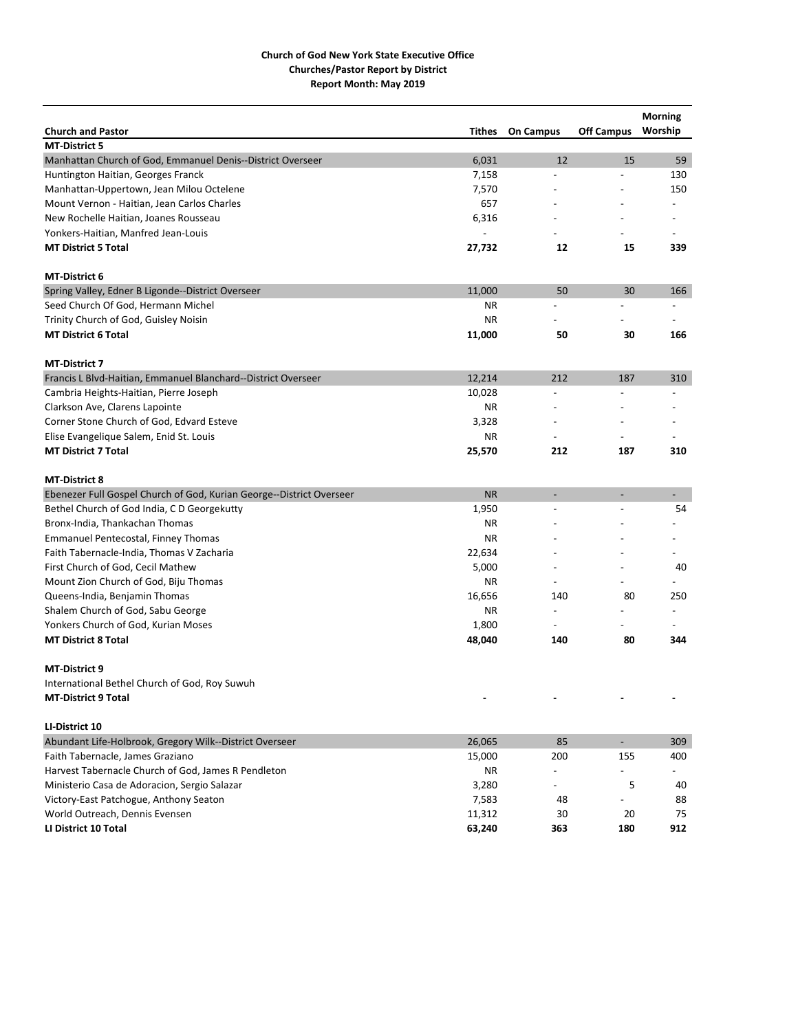|                                                                      |           |                          |                   | <b>Morning</b>           |
|----------------------------------------------------------------------|-----------|--------------------------|-------------------|--------------------------|
| <b>Church and Pastor</b>                                             | Tithes    | <b>On Campus</b>         | <b>Off Campus</b> | Worship                  |
| <b>MT-District 5</b>                                                 |           |                          |                   |                          |
| Manhattan Church of God, Emmanuel Denis--District Overseer           | 6,031     | 12                       | 15                | 59                       |
| Huntington Haitian, Georges Franck                                   | 7,158     |                          |                   | 130                      |
| Manhattan-Uppertown, Jean Milou Octelene                             | 7,570     | $\overline{\phantom{a}}$ |                   | 150                      |
| Mount Vernon - Haitian, Jean Carlos Charles                          | 657       |                          |                   |                          |
| New Rochelle Haitian, Joanes Rousseau                                | 6,316     |                          |                   |                          |
| Yonkers-Haitian, Manfred Jean-Louis                                  |           |                          |                   |                          |
| <b>MT District 5 Total</b>                                           | 27,732    | 12                       | 15                | 339                      |
| <b>MT-District 6</b>                                                 |           |                          |                   |                          |
| Spring Valley, Edner B Ligonde--District Overseer                    | 11,000    | 50                       | 30                | 166                      |
| Seed Church Of God, Hermann Michel                                   | ΝR        |                          |                   |                          |
| Trinity Church of God, Guisley Noisin                                | ΝR        |                          |                   |                          |
| <b>MT District 6 Total</b>                                           | 11,000    | 50                       | 30                | 166                      |
| <b>MT-District 7</b>                                                 |           |                          |                   |                          |
| Francis L Blvd-Haitian, Emmanuel Blanchard--District Overseer        | 12,214    | 212                      | 187               | 310                      |
| Cambria Heights-Haitian, Pierre Joseph                               | 10,028    | $\overline{a}$           |                   |                          |
| Clarkson Ave, Clarens Lapointe                                       | ΝR        |                          |                   |                          |
| Corner Stone Church of God, Edvard Esteve                            | 3,328     |                          |                   |                          |
| Elise Evangelique Salem, Enid St. Louis                              | <b>NR</b> |                          |                   |                          |
| <b>MT District 7 Total</b>                                           | 25,570    | 212                      | 187               | 310                      |
|                                                                      |           |                          |                   |                          |
| <b>MT-District 8</b>                                                 |           |                          |                   |                          |
| Ebenezer Full Gospel Church of God, Kurian George--District Overseer | <b>NR</b> | $\overline{\phantom{a}}$ |                   |                          |
| Bethel Church of God India, C D Georgekutty                          | 1,950     | $\overline{a}$           |                   | 54                       |
| Bronx-India, Thankachan Thomas                                       | NR.       |                          |                   |                          |
| <b>Emmanuel Pentecostal, Finney Thomas</b>                           | <b>NR</b> |                          |                   |                          |
| Faith Tabernacle-India, Thomas V Zacharia                            | 22,634    |                          |                   |                          |
| First Church of God, Cecil Mathew                                    | 5,000     |                          |                   | 40                       |
| Mount Zion Church of God, Biju Thomas                                | ΝR        | $\overline{\phantom{a}}$ |                   |                          |
| Queens-India, Benjamin Thomas                                        | 16,656    | 140                      | 80                | 250                      |
| Shalem Church of God, Sabu George                                    | ΝR        | $\overline{\phantom{0}}$ |                   | $\overline{\phantom{a}}$ |
| Yonkers Church of God, Kurian Moses                                  | 1,800     | $\overline{\phantom{a}}$ |                   |                          |
| <b>MT District 8 Total</b>                                           | 48,040    | 140                      | 80                | 344                      |
| <b>MT-District 9</b>                                                 |           |                          |                   |                          |
| International Bethel Church of God, Roy Suwuh                        |           |                          |                   |                          |
| <b>MT-District 9 Total</b>                                           |           |                          |                   |                          |
| LI-District 10                                                       |           |                          |                   |                          |
| Abundant Life-Holbrook, Gregory Wilk--District Overseer              | 26,065    | 85                       | $\blacksquare$    | 309                      |
| Faith Tabernacle, James Graziano                                     | 15,000    | 200                      | 155               | 400                      |
| Harvest Tabernacle Church of God, James R Pendleton                  | ΝR        |                          |                   |                          |
| Ministerio Casa de Adoracion, Sergio Salazar                         | 3,280     |                          | 5                 | 40                       |
| Victory-East Patchogue, Anthony Seaton                               | 7,583     | 48                       |                   | 88                       |
| World Outreach, Dennis Evensen                                       | 11,312    | 30                       | 20                | 75                       |
| LI District 10 Total                                                 | 63,240    | 363                      | 180               | 912                      |
|                                                                      |           |                          |                   |                          |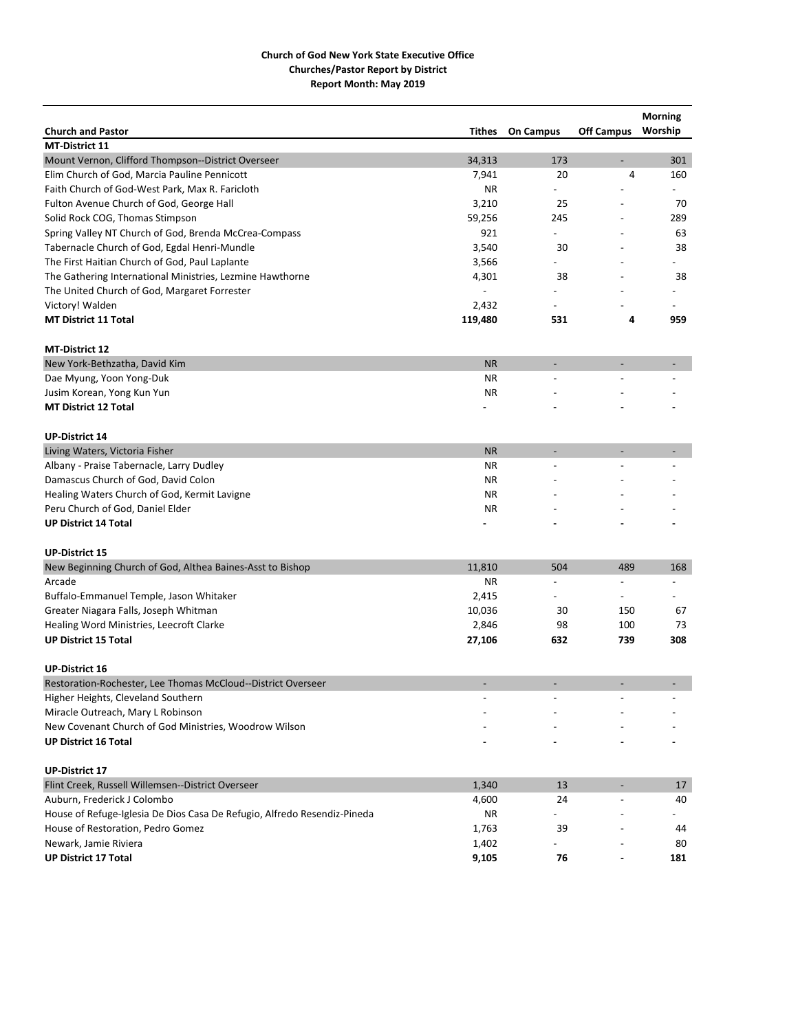|                                                                                  |               |                          |                          | <b>Morning</b>           |
|----------------------------------------------------------------------------------|---------------|--------------------------|--------------------------|--------------------------|
| <b>Church and Pastor</b>                                                         | <b>Tithes</b> | <b>On Campus</b>         | <b>Off Campus</b>        | Worship                  |
| <b>MT-District 11</b>                                                            |               |                          |                          |                          |
| Mount Vernon, Clifford Thompson--District Overseer                               | 34,313        | 173                      | $\overline{\phantom{a}}$ | 301                      |
| Elim Church of God, Marcia Pauline Pennicott                                     | 7,941         | 20                       | 4                        | 160                      |
| Faith Church of God-West Park, Max R. Faricloth                                  | <b>NR</b>     | $\overline{\phantom{a}}$ |                          | $\overline{\phantom{a}}$ |
| Fulton Avenue Church of God, George Hall                                         | 3,210         | 25                       |                          | 70                       |
| Solid Rock COG, Thomas Stimpson                                                  | 59,256        | 245                      |                          | 289                      |
| Spring Valley NT Church of God, Brenda McCrea-Compass                            | 921           |                          |                          | 63                       |
| Tabernacle Church of God, Egdal Henri-Mundle                                     | 3,540         | 30                       |                          | 38                       |
| The First Haitian Church of God, Paul Laplante                                   | 3,566         |                          |                          |                          |
| The Gathering International Ministries, Lezmine Hawthorne                        | 4,301         | 38                       |                          | 38                       |
| The United Church of God, Margaret Forrester                                     |               |                          |                          |                          |
| Victory! Walden                                                                  | 2,432         | $\overline{\phantom{a}}$ |                          |                          |
| <b>MT District 11 Total</b>                                                      | 119,480       | 531                      | 4                        | 959                      |
| <b>MT-District 12</b>                                                            |               |                          |                          |                          |
| New York-Bethzatha, David Kim                                                    | <b>NR</b>     | $\overline{\phantom{a}}$ | $\overline{\phantom{a}}$ |                          |
| Dae Myung, Yoon Yong-Duk                                                         | <b>NR</b>     |                          |                          |                          |
| Jusim Korean, Yong Kun Yun                                                       | <b>NR</b>     |                          |                          |                          |
| <b>MT District 12 Total</b>                                                      |               |                          |                          |                          |
| <b>UP-District 14</b>                                                            |               |                          |                          |                          |
| Living Waters, Victoria Fisher                                                   | <b>NR</b>     | $\overline{\phantom{a}}$ | Ξ.                       |                          |
| Albany - Praise Tabernacle, Larry Dudley                                         | <b>NR</b>     |                          |                          |                          |
| Damascus Church of God, David Colon                                              | <b>NR</b>     |                          |                          |                          |
| Healing Waters Church of God, Kermit Lavigne                                     | <b>NR</b>     |                          |                          |                          |
| Peru Church of God, Daniel Elder                                                 | NR.           |                          |                          |                          |
| <b>UP District 14 Total</b>                                                      |               |                          |                          |                          |
| <b>UP-District 15</b>                                                            |               |                          |                          |                          |
| New Beginning Church of God, Althea Baines-Asst to Bishop                        | 11,810        | 504                      | 489                      | 168                      |
| Arcade                                                                           | <b>NR</b>     |                          |                          |                          |
| Buffalo-Emmanuel Temple, Jason Whitaker                                          | 2,415         |                          |                          |                          |
| Greater Niagara Falls, Joseph Whitman                                            | 10,036        | 30                       | 150                      | 67                       |
| Healing Word Ministries, Leecroft Clarke                                         | 2,846         | 98                       | 100                      | 73                       |
| <b>UP District 15 Total</b>                                                      | 27,106        | 632                      | 739                      | 308                      |
| <b>UP-District 16</b>                                                            |               |                          |                          |                          |
| Restoration-Rochester, Lee Thomas McCloud--District Overseer                     |               |                          |                          |                          |
| Higher Heights, Cleveland Southern                                               |               |                          |                          |                          |
| Miracle Outreach, Mary L Robinson                                                |               |                          |                          |                          |
| New Covenant Church of God Ministries, Woodrow Wilson                            |               |                          |                          |                          |
| <b>UP District 16 Total</b>                                                      |               |                          |                          |                          |
|                                                                                  |               |                          |                          |                          |
| <b>UP-District 17</b>                                                            |               |                          |                          |                          |
| Flint Creek, Russell Willemsen--District Overseer<br>Auburn, Frederick J Colombo | 1,340         | 13                       |                          | 17                       |
|                                                                                  | 4,600         | 24                       |                          | 40                       |
| House of Refuge-Iglesia De Dios Casa De Refugio, Alfredo Resendiz-Pineda         | ΝR            |                          |                          |                          |
| House of Restoration, Pedro Gomez                                                | 1,763         | 39                       |                          | 44                       |
| Newark, Jamie Riviera                                                            | 1,402         |                          |                          | 80                       |
| <b>UP District 17 Total</b>                                                      | 9,105         | 76                       |                          | 181                      |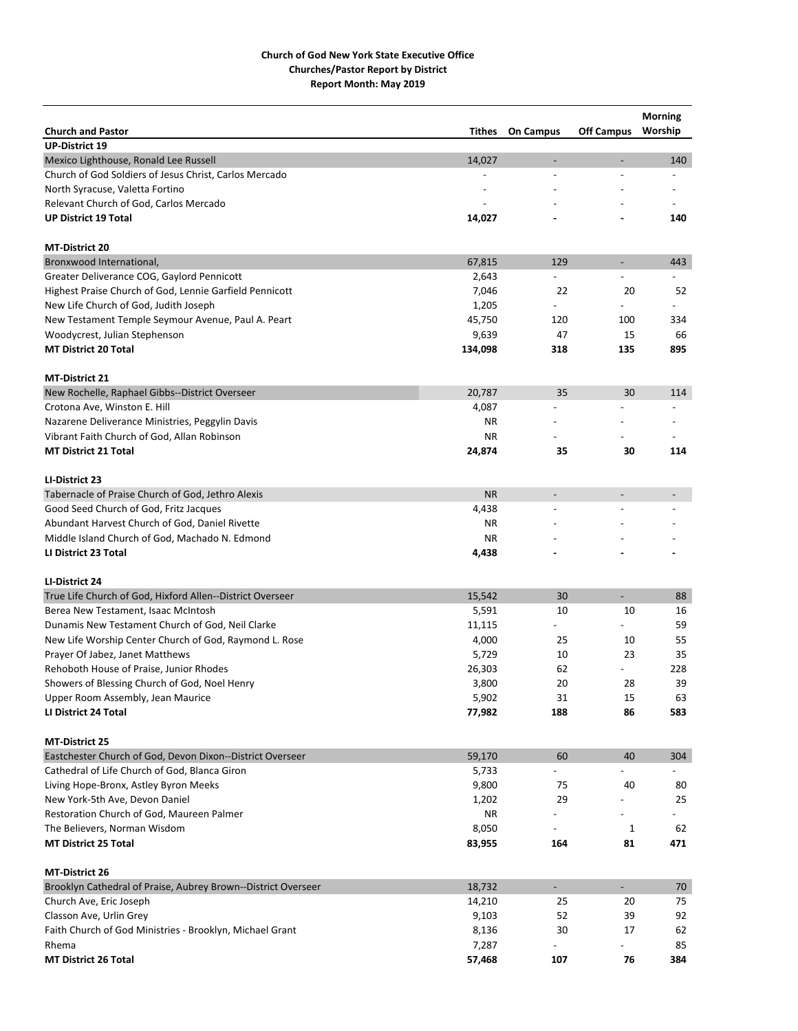|                                                               |                |                          |                             | <b>Morning</b> |
|---------------------------------------------------------------|----------------|--------------------------|-----------------------------|----------------|
| <b>Church and Pastor</b>                                      | Tithes         | <b>On Campus</b>         | <b>Off Campus</b>           | Worship        |
| <b>UP-District 19</b>                                         |                |                          |                             |                |
| Mexico Lighthouse, Ronald Lee Russell                         | 14,027         | $\overline{\phantom{a}}$ | $\overline{\phantom{0}}$    | 140            |
| Church of God Soldiers of Jesus Christ, Carlos Mercado        | $\overline{a}$ | $\overline{a}$           | $\overline{a}$              |                |
| North Syracuse, Valetta Fortino                               |                |                          |                             |                |
| Relevant Church of God, Carlos Mercado                        |                |                          |                             |                |
| <b>UP District 19 Total</b>                                   | 14,027         |                          |                             | 140            |
| <b>MT-District 20</b>                                         |                |                          |                             |                |
| Bronxwood International,                                      | 67,815         | 129                      | $\overline{\phantom{a}}$    | 443            |
| Greater Deliverance COG, Gaylord Pennicott                    | 2,643          |                          | $\overline{a}$              |                |
| Highest Praise Church of God, Lennie Garfield Pennicott       | 7,046          | 22                       | 20                          | 52             |
| New Life Church of God, Judith Joseph                         | 1,205          |                          |                             |                |
| New Testament Temple Seymour Avenue, Paul A. Peart            | 45,750         | 120                      | 100                         | 334            |
| Woodycrest, Julian Stephenson                                 | 9,639          | 47                       | 15                          | 66             |
| <b>MT District 20 Total</b>                                   | 134,098        | 318                      | 135                         | 895            |
|                                                               |                |                          |                             |                |
| <b>MT-District 21</b>                                         |                |                          |                             |                |
| New Rochelle, Raphael Gibbs--District Overseer                | 20,787         | 35                       | 30                          | 114            |
| Crotona Ave, Winston E. Hill                                  | 4,087          |                          |                             |                |
| Nazarene Deliverance Ministries, Peggylin Davis               | ΝR             |                          |                             |                |
| Vibrant Faith Church of God, Allan Robinson                   | <b>NR</b>      |                          |                             |                |
| <b>MT District 21 Total</b>                                   | 24,874         | 35                       | 30                          | 114            |
| LI-District 23                                                |                |                          |                             |                |
| Tabernacle of Praise Church of God, Jethro Alexis             | <b>NR</b>      | $\overline{\phantom{a}}$ | $\overline{\phantom{a}}$    |                |
| Good Seed Church of God, Fritz Jacques                        | 4,438          |                          |                             |                |
| Abundant Harvest Church of God, Daniel Rivette                | ΝR             |                          |                             |                |
| Middle Island Church of God, Machado N. Edmond                | ΝR             |                          |                             |                |
| LI District 23 Total                                          | 4,438          |                          |                             |                |
|                                                               |                |                          |                             |                |
| LI-District 24                                                |                |                          |                             |                |
| True Life Church of God, Hixford Allen--District Overseer     | 15,542         | 30                       | ÷,                          | 88             |
| Berea New Testament, Isaac McIntosh                           | 5,591          | 10                       | 10                          | 16             |
| Dunamis New Testament Church of God, Neil Clarke              | 11,115         | $\overline{\phantom{0}}$ |                             | 59             |
| New Life Worship Center Church of God, Raymond L. Rose        | 4,000          | 25                       | 10                          | 55             |
| Prayer Of Jabez, Janet Matthews                               | 5,729          | 10                       | 23                          | 35             |
| Rehoboth House of Praise, Junior Rhodes                       | 26,303         | 62                       |                             | 228            |
| Showers of Blessing Church of God, Noel Henry                 | 3,800          | 20                       | 28                          | 39             |
| Upper Room Assembly, Jean Maurice                             | 5,902          | 31                       | 15                          | 63             |
| LI District 24 Total                                          | 77,982         | 188                      | 86                          | 583            |
| <b>MT-District 25</b>                                         |                |                          |                             |                |
| Eastchester Church of God, Devon Dixon--District Overseer     | 59,170         | 60                       | 40                          | 304            |
| Cathedral of Life Church of God, Blanca Giron                 | 5,733          |                          |                             |                |
| Living Hope-Bronx, Astley Byron Meeks                         | 9,800          | 75                       | 40                          | 80             |
| New York-5th Ave, Devon Daniel                                | 1,202          | 29                       | $\overline{a}$              | 25             |
| Restoration Church of God, Maureen Palmer                     | ΝR             |                          |                             |                |
| The Believers, Norman Wisdom                                  | 8,050          |                          | 1                           | 62             |
| <b>MT District 25 Total</b>                                   | 83,955         | 164                      | 81                          | 471            |
| <b>MT-District 26</b>                                         |                |                          |                             |                |
| Brooklyn Cathedral of Praise, Aubrey Brown--District Overseer | 18,732         | $\mathbb{L}^2$           | $\mathcal{L}_{\mathcal{A}}$ | 70             |
| Church Ave, Eric Joseph                                       | 14,210         | 25                       | 20                          | 75             |
| Classon Ave, Urlin Grey                                       | 9,103          | 52                       | 39                          | 92             |
| Faith Church of God Ministries - Brooklyn, Michael Grant      | 8,136          | 30                       | 17                          | 62             |
| Rhema                                                         | 7,287          |                          |                             | 85             |
| <b>MT District 26 Total</b>                                   | 57,468         | 107                      | 76                          | 384            |